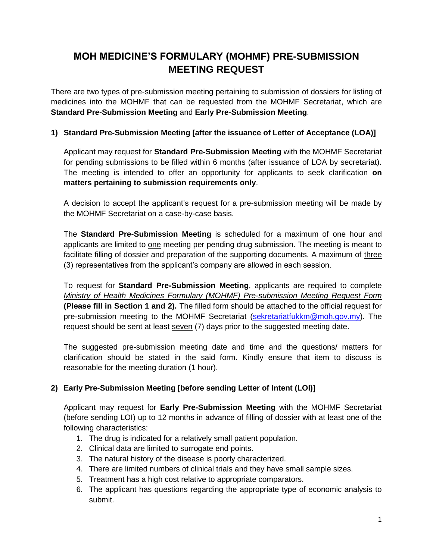## **MOH MEDICINE'S FORMULARY (MOHMF) PRE-SUBMISSION MEETING REQUEST**

There are two types of pre-submission meeting pertaining to submission of dossiers for listing of medicines into the MOHMF that can be requested from the MOHMF Secretariat, which are **Standard Pre-Submission Meeting** and **Early Pre-Submission Meeting**.

## **1) Standard Pre-Submission Meeting [after the issuance of Letter of Acceptance (LOA)]**

Applicant may request for **Standard Pre-Submission Meeting** with the MOHMF Secretariat for pending submissions to be filled within 6 months (after issuance of LOA by secretariat). The meeting is intended to offer an opportunity for applicants to seek clarification **on matters pertaining to submission requirements only**.

A decision to accept the applicant's request for a pre-submission meeting will be made by the MOHMF Secretariat on a case-by-case basis.

The **Standard Pre-Submission Meeting** is scheduled for a maximum of one hour and applicants are limited to one meeting per pending drug submission. The meeting is meant to facilitate filling of dossier and preparation of the supporting documents. A maximum of three (3) representatives from the applicant's company are allowed in each session.

To request for **Standard Pre-Submission Meeting**, applicants are required to complete *Ministry of Health Medicines Formulary (MOHMF) Pre-submission Meeting Request Form* **(Please fill in Section 1 and 2).** The filled form should be attached to the official request for pre-submission meeting to the MOHMF Secretariat [\(sekretariatfukkm@moh.gov.my\)](mailto:sekretariatfukkm@moh.gov.my)*.* The request should be sent at least seven (7) days prior to the suggested meeting date.

The suggested pre-submission meeting date and time and the questions/ matters for clarification should be stated in the said form. Kindly ensure that item to discuss is reasonable for the meeting duration (1 hour).

## **2) Early Pre-Submission Meeting [before sending Letter of Intent (LOI)]**

Applicant may request for **Early Pre-Submission Meeting** with the MOHMF Secretariat (before sending LOI) up to 12 months in advance of filling of dossier with at least one of the following characteristics:

- 1. The drug is indicated for a relatively small patient population.
- 2. Clinical data are limited to surrogate end points.
- 3. The natural history of the disease is poorly characterized.
- 4. There are limited numbers of clinical trials and they have small sample sizes.
- 5. Treatment has a high cost relative to appropriate comparators.
- 6. The applicant has questions regarding the appropriate type of economic analysis to submit.